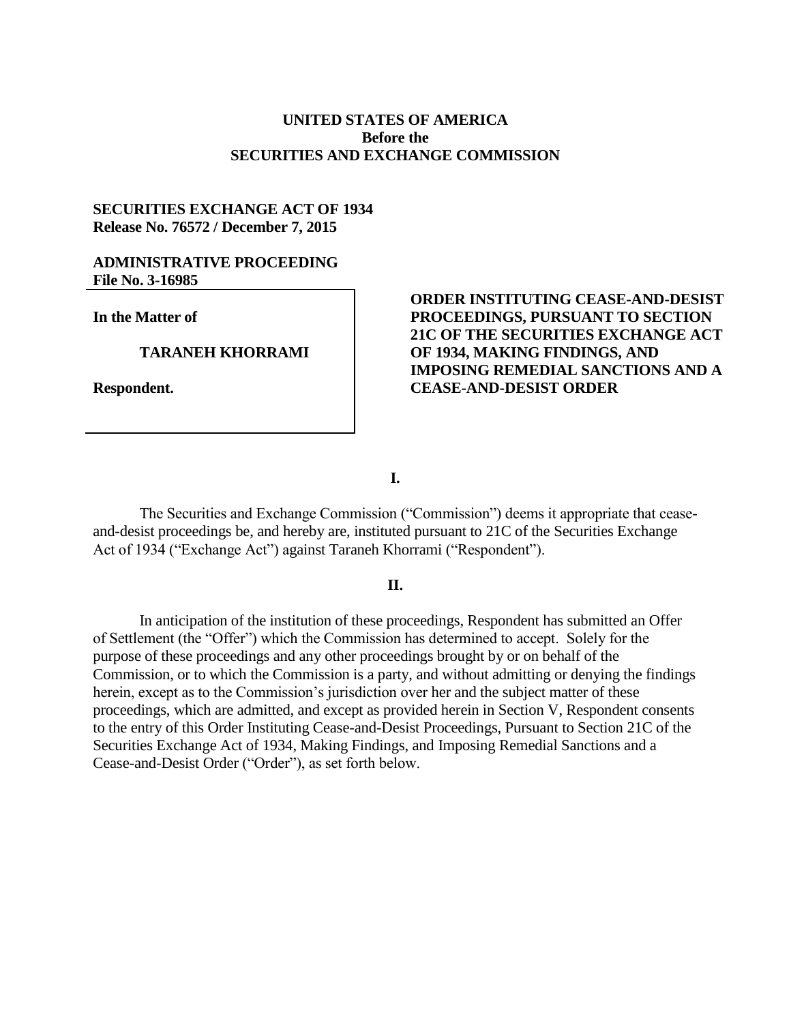### **UNITED STATES OF AMERICA Before the SECURITIES AND EXCHANGE COMMISSION**

# **SECURITIES EXCHANGE ACT OF 1934 Release No. 76572 / December 7, 2015**

# **ADMINISTRATIVE PROCEEDING File No. 3-16985**

**In the Matter of**

#### **TARANEH KHORRAMI**

**Respondent.**

# **ORDER INSTITUTING CEASE-AND-DESIST PROCEEDINGS, PURSUANT TO SECTION 21C OF THE SECURITIES EXCHANGE ACT OF 1934, MAKING FINDINGS, AND IMPOSING REMEDIAL SANCTIONS AND A CEASE-AND-DESIST ORDER**

**I.**

The Securities and Exchange Commission ("Commission") deems it appropriate that ceaseand-desist proceedings be, and hereby are, instituted pursuant to 21C of the Securities Exchange Act of 1934 ("Exchange Act") against Taraneh Khorrami ("Respondent").

#### **II.**

In anticipation of the institution of these proceedings, Respondent has submitted an Offer of Settlement (the "Offer") which the Commission has determined to accept. Solely for the purpose of these proceedings and any other proceedings brought by or on behalf of the Commission, or to which the Commission is a party, and without admitting or denying the findings herein, except as to the Commission's jurisdiction over her and the subject matter of these proceedings, which are admitted, and except as provided herein in Section V, Respondent consents to the entry of this Order Instituting Cease-and-Desist Proceedings, Pursuant to Section 21C of the Securities Exchange Act of 1934, Making Findings, and Imposing Remedial Sanctions and a Cease-and-Desist Order ("Order"), as set forth below.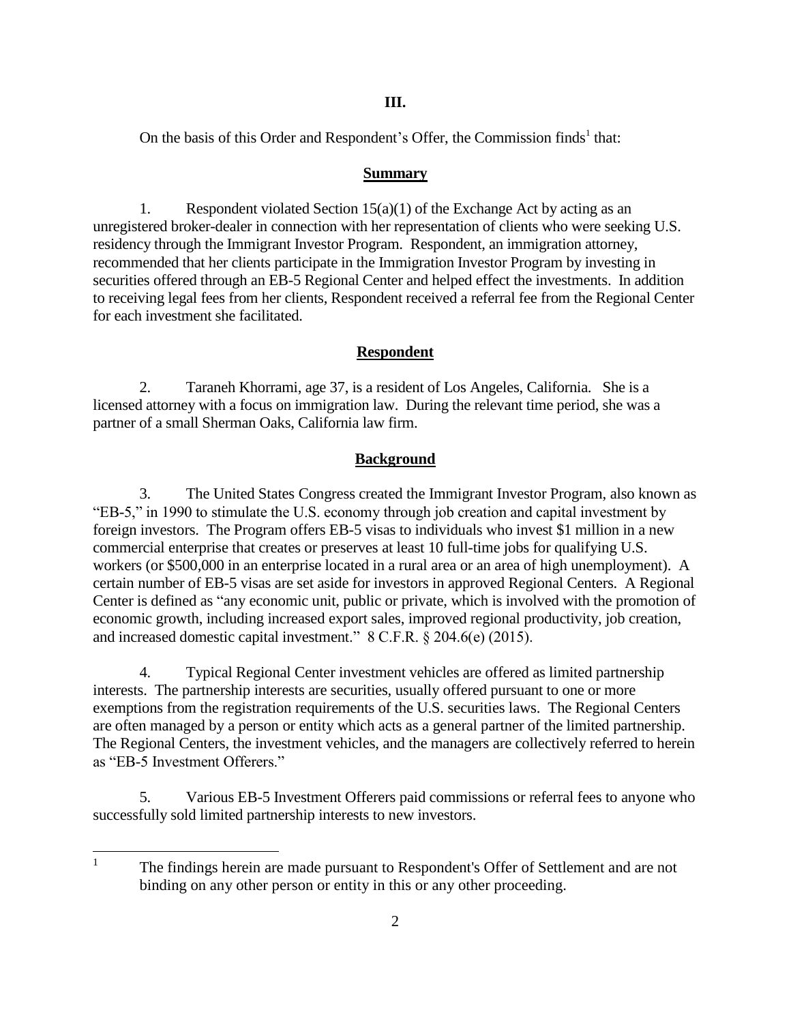### **III.**

On the basis of this Order and Respondent's Offer, the Commission finds<sup>1</sup> that:

### **Summary**

1. Respondent violated Section  $15(a)(1)$  of the Exchange Act by acting as an unregistered broker-dealer in connection with her representation of clients who were seeking U.S. residency through the Immigrant Investor Program. Respondent, an immigration attorney, recommended that her clients participate in the Immigration Investor Program by investing in securities offered through an EB-5 Regional Center and helped effect the investments. In addition to receiving legal fees from her clients, Respondent received a referral fee from the Regional Center for each investment she facilitated.

# **Respondent**

2. Taraneh Khorrami, age 37, is a resident of Los Angeles, California. She is a licensed attorney with a focus on immigration law. During the relevant time period, she was a partner of a small Sherman Oaks, California law firm.

# **Background**

3. The United States Congress created the Immigrant Investor Program, also known as "EB-5," in 1990 to stimulate the U.S. economy through job creation and capital investment by foreign investors. The Program offers EB-5 visas to individuals who invest \$1 million in a new commercial enterprise that creates or preserves at least 10 full-time jobs for qualifying U.S. workers (or \$500,000 in an enterprise located in a rural area or an area of high unemployment). A certain number of EB-5 visas are set aside for investors in approved Regional Centers. A Regional Center is defined as "any economic unit, public or private, which is involved with the promotion of economic growth, including increased export sales, improved regional productivity, job creation, and increased domestic capital investment." 8 C.F.R. § 204.6(e) (2015).

4. Typical Regional Center investment vehicles are offered as limited partnership interests. The partnership interests are securities, usually offered pursuant to one or more exemptions from the registration requirements of the U.S. securities laws. The Regional Centers are often managed by a person or entity which acts as a general partner of the limited partnership. The Regional Centers, the investment vehicles, and the managers are collectively referred to herein as "EB-5 Investment Offerers."

5. Various EB-5 Investment Offerers paid commissions or referral fees to anyone who successfully sold limited partnership interests to new investors.

 $\frac{1}{1}$ The findings herein are made pursuant to Respondent's Offer of Settlement and are not binding on any other person or entity in this or any other proceeding.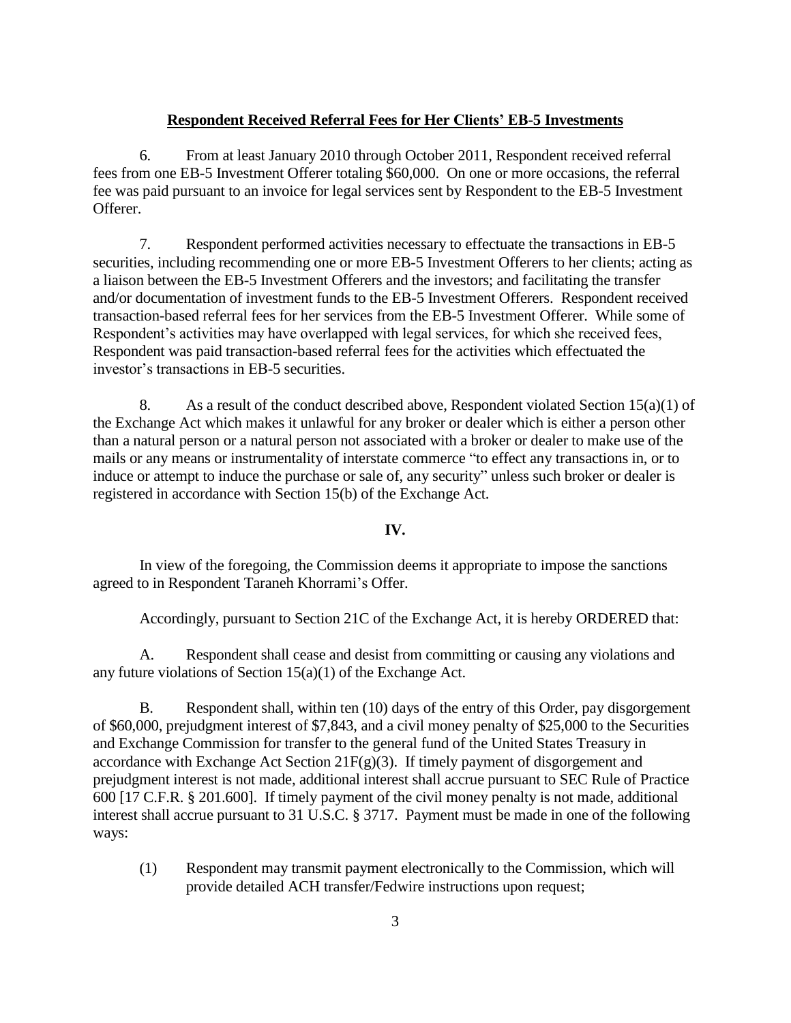### **Respondent Received Referral Fees for Her Clients' EB-5 Investments**

6. From at least January 2010 through October 2011, Respondent received referral fees from one EB-5 Investment Offerer totaling \$60,000. On one or more occasions, the referral fee was paid pursuant to an invoice for legal services sent by Respondent to the EB-5 Investment Offerer.

7. Respondent performed activities necessary to effectuate the transactions in EB-5 securities, including recommending one or more EB-5 Investment Offerers to her clients; acting as a liaison between the EB-5 Investment Offerers and the investors; and facilitating the transfer and/or documentation of investment funds to the EB-5 Investment Offerers. Respondent received transaction-based referral fees for her services from the EB-5 Investment Offerer. While some of Respondent's activities may have overlapped with legal services, for which she received fees, Respondent was paid transaction-based referral fees for the activities which effectuated the investor's transactions in EB-5 securities.

8. As a result of the conduct described above, Respondent violated Section  $15(a)(1)$  of the Exchange Act which makes it unlawful for any broker or dealer which is either a person other than a natural person or a natural person not associated with a broker or dealer to make use of the mails or any means or instrumentality of interstate commerce "to effect any transactions in, or to induce or attempt to induce the purchase or sale of, any security" unless such broker or dealer is registered in accordance with Section 15(b) of the Exchange Act.

### **IV.**

In view of the foregoing, the Commission deems it appropriate to impose the sanctions agreed to in Respondent Taraneh Khorrami's Offer.

Accordingly, pursuant to Section 21C of the Exchange Act, it is hereby ORDERED that:

A. Respondent shall cease and desist from committing or causing any violations and any future violations of Section 15(a)(1) of the Exchange Act.

B. Respondent shall, within ten (10) days of the entry of this Order, pay disgorgement of \$60,000, prejudgment interest of \$7,843, and a civil money penalty of \$25,000 to the Securities and Exchange Commission for transfer to the general fund of the United States Treasury in accordance with Exchange Act Section  $21F(g)(3)$ . If timely payment of disgorgement and prejudgment interest is not made, additional interest shall accrue pursuant to SEC Rule of Practice 600 [17 C.F.R. § 201.600]. If timely payment of the civil money penalty is not made, additional interest shall accrue pursuant to 31 U.S.C. § 3717. Payment must be made in one of the following ways:

(1) Respondent may transmit payment electronically to the Commission, which will provide detailed ACH transfer/Fedwire instructions upon request;